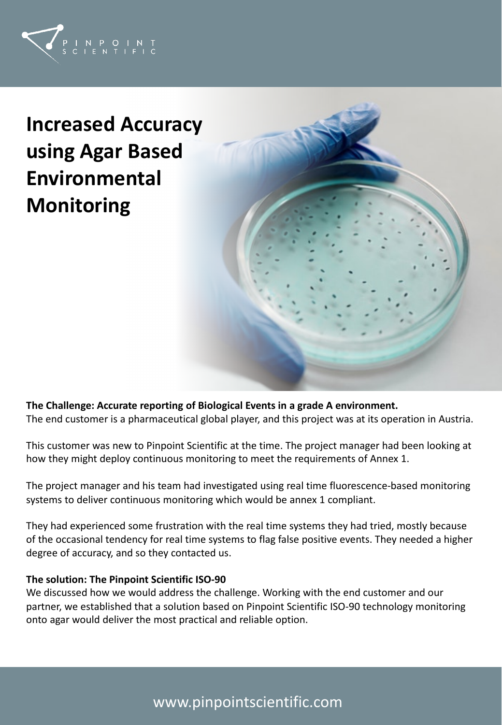

**Increased Accuracy using Agar Based Environmental Monitoring**



**The Challenge: Accurate reporting of Biological Events in a grade A environment.** The end customer is a pharmaceutical global player, and this project was at its operation in Austria.

This customer was new to Pinpoint Scientific at the time. The project manager had been looking at how they might deploy continuous monitoring to meet the requirements of Annex 1.

The project manager and his team had investigated using real time fluorescence-based monitoring systems to deliver continuous monitoring which would be annex 1 compliant.

They had experienced some frustration with the real time systems they had tried, mostly because of the occasional tendency for real time systems to flag false positive events. They needed a higher degree of accuracy, and so they contacted us.

## **The solution: The Pinpoint Scientific ISO-90**

We discussed how we would address the challenge. Working with the end customer and our partner, we established that a solution based on Pinpoint Scientific ISO-90 technology monitoring onto agar would deliver the most practical and reliable option.

# www.pinpointscientific.com